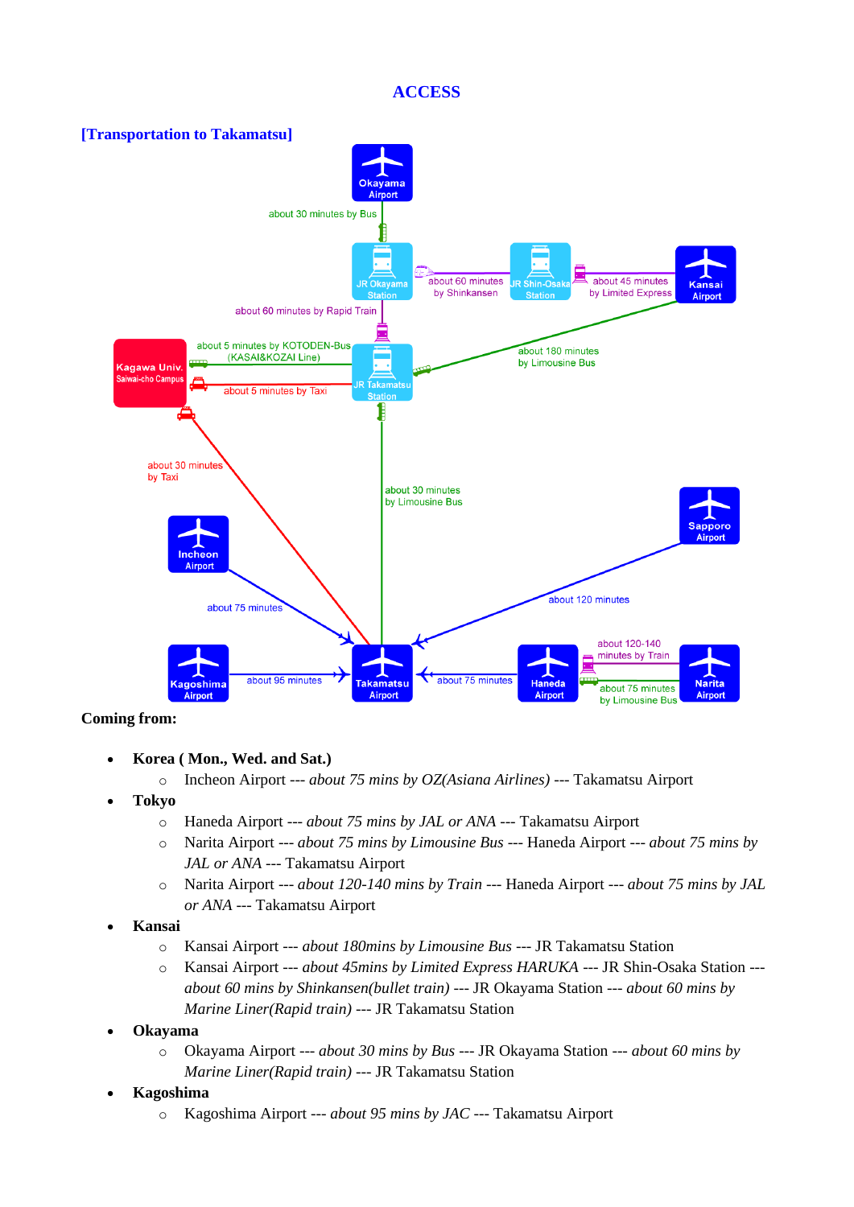## **ACCESS**



## **Coming from:**

- **Korea ( Mon., Wed. and Sat.)**
	- o Incheon Airport --- *about 75 mins by OZ(Asiana Airlines)* --- Takamatsu Airport
- **Tokyo**
	- o Haneda Airport --- *about 75 mins by JAL or ANA* --- Takamatsu Airport
	- o Narita Airport --- *about 75 mins by Limousine Bus* --- Haneda Airport --- *about 75 mins by JAL or ANA* --- Takamatsu Airport
	- o Narita Airport --- *about 120-140 mins by Train* --- Haneda Airport --- *about 75 mins by JAL or ANA* --- Takamatsu Airport
- **Kansai**
	- o Kansai Airport --- *about 180mins by Limousine Bus* --- JR Takamatsu Station
	- o Kansai Airport --- *about 45mins by Limited Express HARUKA* --- JR Shin-Osaka Station -- *about 60 mins by Shinkansen(bullet train)* --- JR Okayama Station --- *about 60 mins by Marine Liner(Rapid train)* --- JR Takamatsu Station
- **Okayama**
	- o Okayama Airport --- *about 30 mins by Bus* --- JR Okayama Station --- *about 60 mins by Marine Liner(Rapid train)* --- JR Takamatsu Station
- **Kagoshima**
	- o Kagoshima Airport --- *about 95 mins by JAC* --- Takamatsu Airport